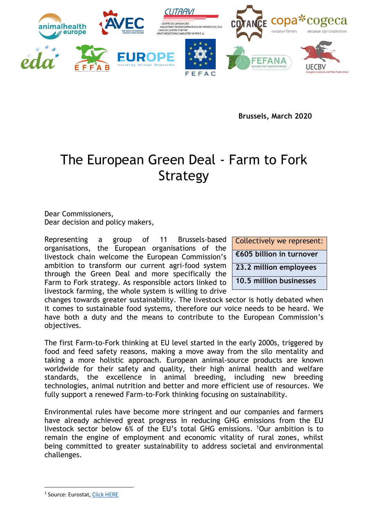

**Brussels, March 2020** 

# The European Green Deal - Farm to Fork Strategy

Dear Commissioners, Dear decision and policy makers,

Representing a group of 11 Brussels-based organisations, the European organisations of the livestock chain welcome the European Commission's ambition to transform our current agri-food system through the Green Deal and more specifically the Farm to Fork strategy. As responsible actors linked to livestock farming, the whole system is willing to drive

Collectively we represent: **€605 billion in turnover 23.2 million employees 10.5 million businesses**

changes towards greater sustainability. The livestock sector is hotly debated when it comes to sustainable food systems, therefore our voice needs to be heard. We have both a duty and the means to contribute to the European Commission's objectives.

The first Farm-to-Fork thinking at EU level started in the early 2000s, triggered by food and feed safety reasons, making a move away from the silo mentality and taking a more holistic approach. European animal-source products are known worldwide for their safety and quality, their high animal health and welfare standards, the excellence in animal breeding, including new breeding technologies, animal nutrition and better and more efficient use of resources. We fully support a renewed Farm-to-Fork thinking focusing on sustainability.

Environmental rules have become more stringent and our companies and farmers have already achieved great progress in reducing GHG emissions from the EU livestock sector below 6% of the EU's total GHG emissions. <sup>1</sup>Our ambition is to remain the engine of employment and economic vitality of rural zones, whilst being committed to greater sustainability to address societal and environmental challenges.

<sup>&</sup>lt;sup>1</sup> Source: Eurostat, <u>Click HERE</u>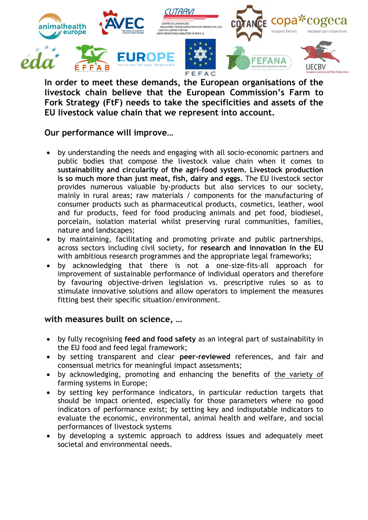

**In order to meet these demands, the European organisations of the livestock chain believe that the European Commission's Farm to Fork Strategy (FtF) needs to take the specificities and assets of the EU livestock value chain that we represent into account.**

#### **Our performance will improve…**

- by understanding the needs and engaging with all socio-economic partners and public bodies that compose the livestock value chain when it comes to **sustainability and circularity of the agri-food system. Livestock production is so much more than just meat, fish, dairy and eggs.** The EU livestock sector provides numerous valuable by-products but also services to our society, mainly in rural areas; raw materials / components for the manufacturing of consumer products such as pharmaceutical products, cosmetics, leather, wool and fur products, feed for food producing animals and pet food, biodiesel, porcelain, isolation material whilst preserving rural communities, families, nature and landscapes;
- by maintaining, facilitating and promoting private and public partnerships, across sectors including civil society, for **research and innovation in the EU** with ambitious research programmes and the appropriate legal frameworks;
- by acknowledging that there is not a one-size-fits-all approach for improvement of sustainable performance of individual operators and therefore by favouring objective-driven legislation vs. prescriptive rules so as to stimulate innovative solutions and allow operators to implement the measures fitting best their specific situation/environment.

#### **with measures built on science, …**

- by fully recognising **feed and food safety** as an integral part of sustainability in the EU food and feed legal framework;
- by setting transparent and clear **peer-reviewed** references, and fair and consensual metrics for meaningful impact assessments;
- by acknowledging, promoting and enhancing the benefits of the variety of farming systems in Europe;
- by setting key performance indicators, in particular reduction targets that should be impact oriented, especially for those parameters where no good indicators of performance exist; by setting key and indisputable indicators to evaluate the economic, environmental, animal health and welfare, and social performances of livestock systems
- by developing a systemic approach to address issues and adequately meet societal and environmental needs.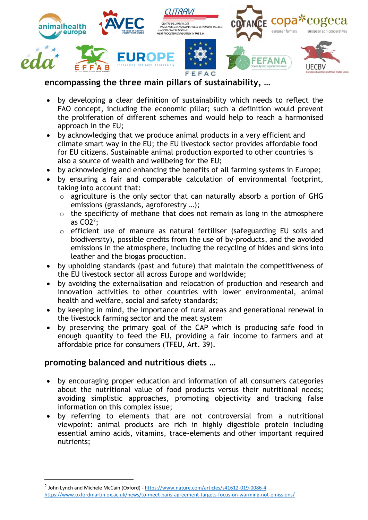

# **encompassing the three main pillars of sustainability, …**

- by developing a clear definition of sustainability which needs to reflect the FAO concept, including the economic pillar; such a definition would prevent the proliferation of different schemes and would help to reach a harmonised approach in the EU;
- by acknowledging that we produce animal products in a very efficient and climate smart way in the EU; the EU livestock sector provides affordable food for EU citizens. Sustainable animal production exported to other countries is also a source of wealth and wellbeing for the EU;
- by acknowledging and enhancing the benefits of all farming systems in Europe;
- by ensuring a fair and comparable calculation of environmental footprint, taking into account that:
	- o agriculture is the only sector that can naturally absorb a portion of GHG emissions (grasslands, agroforestry …);
	- o the specificity of methane that does not remain as long in the atmosphere as CO2<sup>2</sup> ;
	- o efficient use of manure as natural fertiliser (safeguarding EU soils and biodiversity), possible credits from the use of by-products, and the avoided emissions in the atmosphere, including the recycling of hides and skins into leather and the biogas production.
- by upholding standards (past and future) that maintain the competitiveness of the EU livestock sector all across Europe and worldwide;
- by avoiding the externalisation and relocation of production and research and innovation activities to other countries with lower environmental, animal health and welfare, social and safety standards;
- by keeping in mind, the importance of rural areas and generational renewal in the livestock farming sector and the meat system
- by preserving the primary goal of the CAP which is producing safe food in enough quantity to feed the EU, providing a fair income to farmers and at affordable price for consumers (TFEU, Art. 39).

## **promoting balanced and nutritious diets …**

**.** 

- by encouraging proper education and information of all consumers categories about the nutritional value of food products versus their nutritional needs; avoiding simplistic approaches, promoting objectivity and tracking false information on this complex issue;
- by referring to elements that are not controversial from a nutritional viewpoint: animal products are rich in highly digestible protein including essential amino acids, vitamins, trace-elements and other important required nutrients;

<sup>&</sup>lt;sup>2</sup> John Lynch and Michele McCain (Oxford) - <https://www.nature.com/articles/s41612-019-0086-4> <https://www.oxfordmartin.ox.ac.uk/news/to-meet-paris-agreement-targets-focus-on-warming-not-emissions/>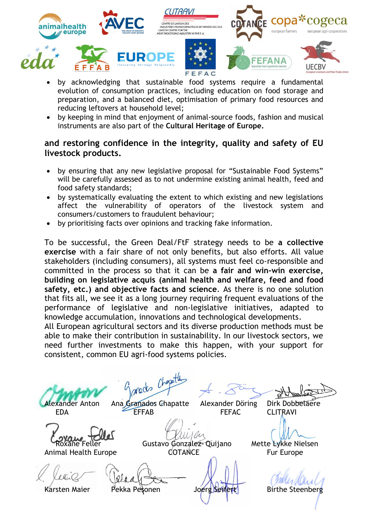

- by acknowledging that sustainable food systems require a fundamental evolution of consumption practices, including education on food storage and preparation, and a balanced diet, optimisation of primary food resources and reducing leftovers at household level;
- by keeping in mind that enjoyment of animal-source foods, fashion and musical instruments are also part of the **Cultural Heritage of Europe.**

### **and restoring confidence in the integrity, quality and safety of EU livestock products.**

- by ensuring that any new legislative proposal for "Sustainable Food Systems" will be carefully assessed as to not undermine existing animal health, feed and food safety standards;
- by systematically evaluating the extent to which existing and new legislations affect the vulnerability of operators of the livestock system and consumers/customers to fraudulent behaviour;
- by prioritising facts over opinions and tracking fake information.

To be successful, the Green Deal/FtF strategy needs to be **a collective exercise** with a fair share of not only benefits, but also efforts. All value stakeholders (including consumers), all systems must feel co-responsible and committed in the process so that it can be **a fair and win-win exercise, building on legislative acquis (animal health and welfare, feed and food safety, etc.) and objective facts and science**. As there is no one solution that fits all, we see it as a long journey requiring frequent evaluations of the performance of legislative and non-legislative initiatives, adapted to knowledge accumulation, innovations and technological developments.

All European agricultural sectors and its diverse production methods must be able to make their contribution in sustainability. In our livestock sectors, we need further investments to make this happen, with your support for consistent, common EU agri-food systems policies.

gareds Chapath Alexander Anton Ana Granados Chapatte Alexander Döring Dirk Dobbelaere EDA EFFAB FEFAC CLITRAVI Roxane Feller **Gustavo Gonzalez- Quijano** Mette Lykke Nielsen Animal Health Europe COTANCE Fur Europe Karsten Maier Pekka Pesonen Joerg Seifert Birthe Steenberg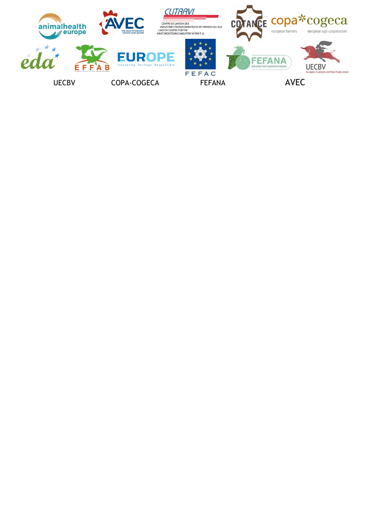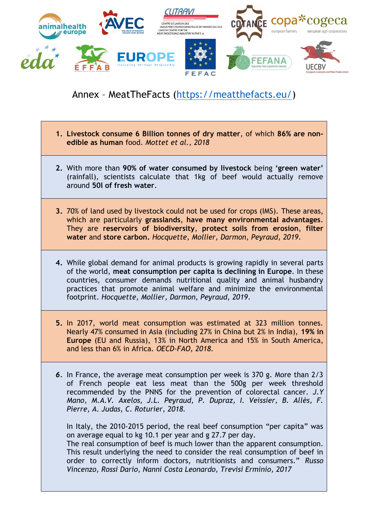

# Annex – MeatTheFacts [\(https://meatthefacts.eu/\)](https://meatthefacts.eu/)

- **1. Livestock consume 6 Billion tonnes of dry matter**, of which **86% are nonedible as human** food. *Mottet et al., 2018*
- **2.** With more than **90% of water consumed by livestock** being **'green water'** (rainfall), scientists calculate that 1kg of beef would actually remove around **50l of fresh water**.
- **3.** 70% of land used by livestock could not be used for crops (IMS). These areas, which are particularly **grasslands**, **have many environmental advantages**. They are **reservoirs of biodiversity**, **protect soils from erosion**, **filter water** and **store carbon.** *Hocquette, Mollier, Darmon, Peyraud, 2019*.
- **4.** While global demand for animal products is growing rapidly in several parts of the world, **meat consumption per capita is declining in Europe**. In these countries, consumer demands nutritional quality and animal husbandry practices that promote animal welfare and minimize the environmental footprint. *Hocquette, Mollier, Darmon, Peyraud, 2019*.
- **5.** In 2017, world meat consumption was estimated at 323 million tonnes. Nearly 47% consumed in Asia (including 27% in China but 2% in India), **19% in Europe** (EU and Russia), 13% in North America and 15% in South America, and less than 6% in Africa. *OECD-FAO, 2018*.
- *6.* In France, the average meat consumption per week is 370 g. More than 2/3 of French people eat less meat than the 500g per week threshold recommended by the PNNS for the prevention of colorectal cancer. *J.Y Mano, M.A.V. Axelos, J.L. Peyraud, P. Dupraz, I. Veissier, B. Allès, F. Pierre, A. Judas, C. Roturier, 2018.*

In Italy, the 2010-2015 period, the real beef consumption "per capita" was on average equal to kg 10.1 per year and g 27.7 per day.

The real consumption of beef is much lower than the apparent consumption. This result underlying the need to consider the real consumption of beef in order to correctly inform doctors, nutritionists and consumers." *Russo Vincenzo, Rossi Dario, Nanni Costa Leonardo, Trevisi Erminio, 2017*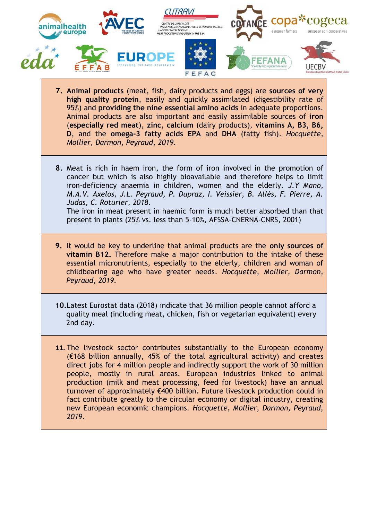

- **7. Animal products** (meat, fish, dairy products and eggs) are **sources of very high quality protein**, easily and quickly assimilated (digestibility rate of 95%) and **providing the nine essential amino acids** in adequate proportions. Animal products are also important and easily assimilable sources of **iron** (**especially red meat**), **zinc**, **calcium** (dairy products), **vitamins A, B3, B6, D**, and the **omega-3 fatty acids EPA** and **DHA** (fatty fish). *Hocquette, Mollier, Darmon, Peyraud, 2019*.
- **8.** Meat is rich in haem iron, the form of iron involved in the promotion of cancer but which is also highly bioavailable and therefore helps to limit iron-deficiency anaemia in children, women and the elderly. *J.Y Mano, M.A.V. Axelos, J.L. Peyraud, P. Dupraz, I. Veissier, B. Allès, F. Pierre, A. Judas, C. Roturier, 2018.* The iron in meat present in haemic form is much better absorbed than that

present in plants (25% vs. less than 5-10%, AFSSA-CNERNA-CNRS, 2001)

- **9.** It would be key to underline that animal products are the **only sources of vitamin B12.** Therefore make a major contribution to the intake of these essential micronutrients, especially to the elderly, children and woman of childbearing age who have greater needs. *Hocquette, Mollier, Darmon, Peyraud, 2019*.
- **10.**Latest Eurostat data (2018) indicate that 36 million people cannot afford a quality meal (including meat, chicken, fish or vegetarian equivalent) every 2nd day.
- **11.** The livestock sector contributes substantially to the European economy (€168 billion annually, 45% of the total agricultural activity) and creates direct jobs for 4 million people and indirectly support the work of 30 million people, mostly in rural areas. European industries linked to animal production (milk and meat processing, feed for livestock) have an annual turnover of approximately €400 billion. Future livestock production could in fact contribute greatly to the circular economy or digital industry, creating new European economic champions. *Hocquette, Mollier, Darmon, Peyraud, 2019*.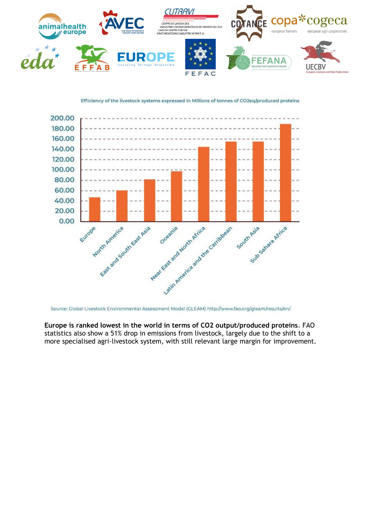

Efficiency of the livestock systems expressed in Millions of tonnes of CO2eq/produced proteins



Source: Global Livestock Environmental Assessment Model (GLEAM) http://www.fao.org/gleam/results/en/

**Europe is ranked lowest in the world in terms of CO2 output/produced proteins**. FAO statistics also show a 51% drop in emissions from livestock, largely due to the shift to a more specialised agri-livestock system, with still relevant large margin for improvement.